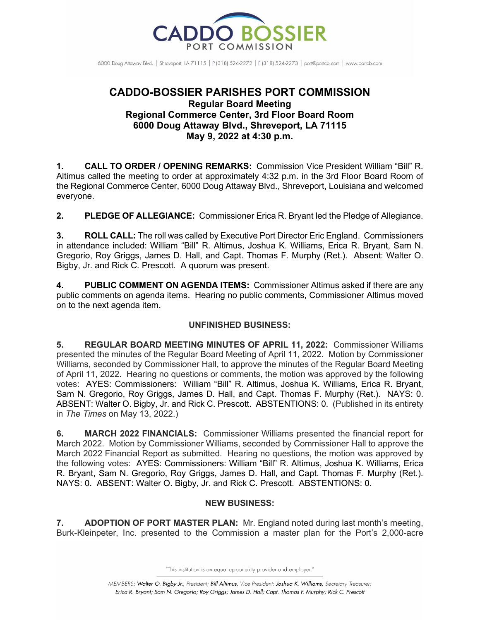

6000 Doug Attaway Blvd. | Shreveport, IA 71115 | P (318) 524-2272 | F (318) 524-2273 | port@portcb.com | www.portcb.com

# **CADDO-BOSSIER PARISHES PORT COMMISSION Regular Board Meeting Regional Commerce Center, 3rd Floor Board Room 6000 Doug Attaway Blvd., Shreveport, LA 71115 May 9, 2022 at 4:30 p.m.**

**1. CALL TO ORDER / OPENING REMARKS:** Commission Vice President William "Bill" R. Altimus called the meeting to order at approximately 4:32 p.m. in the 3rd Floor Board Room of the Regional Commerce Center, 6000 Doug Attaway Blvd., Shreveport, Louisiana and welcomed everyone.

**2. PLEDGE OF ALLEGIANCE:** Commissioner Erica R. Bryant led the Pledge of Allegiance.

**3. ROLL CALL:** The roll was called by Executive Port Director Eric England. Commissioners in attendance included: William "Bill" R. Altimus, Joshua K. Williams, Erica R. Bryant, Sam N. Gregorio, Roy Griggs, James D. Hall, and Capt. Thomas F. Murphy (Ret.). Absent: Walter O. Bigby, Jr. and Rick C. Prescott. A quorum was present.

**4. PUBLIC COMMENT ON AGENDA ITEMS:** Commissioner Altimus asked if there are any public comments on agenda items. Hearing no public comments, Commissioner Altimus moved on to the next agenda item.

## **UNFINISHED BUSINESS:**

**5. REGULAR BOARD MEETING MINUTES OF APRIL 11, 2022:** Commissioner Williams presented the minutes of the Regular Board Meeting of April 11, 2022. Motion by Commissioner Williams, seconded by Commissioner Hall, to approve the minutes of the Regular Board Meeting of April 11, 2022. Hearing no questions or comments, the motion was approved by the following votes: AYES: Commissioners: William "Bill" R. Altimus, Joshua K. Williams, Erica R. Bryant, Sam N. Gregorio, Roy Griggs, James D. Hall, and Capt. Thomas F. Murphy (Ret.). NAYS: 0. ABSENT: Walter O. Bigby, Jr. and Rick C. Prescott. ABSTENTIONS: 0. (Published in its entirety in *The Times* on May 13, 2022.)

**6. MARCH 2022 FINANCIALS:** Commissioner Williams presented the financial report for March 2022. Motion by Commissioner Williams, seconded by Commissioner Hall to approve the March 2022 Financial Report as submitted. Hearing no questions, the motion was approved by the following votes: AYES: Commissioners: William "Bill" R. Altimus, Joshua K. Williams, Erica R. Bryant, Sam N. Gregorio, Roy Griggs, James D. Hall, and Capt. Thomas F. Murphy (Ret.). NAYS: 0. ABSENT: Walter O. Bigby, Jr. and Rick C. Prescott. ABSTENTIONS: 0.

## **NEW BUSINESS:**

**7. ADOPTION OF PORT MASTER PLAN:** Mr. England noted during last month's meeting, Burk-Kleinpeter, Inc. presented to the Commission a master plan for the Port's 2,000-acre

"This institution is an equal opportunity provider and employer."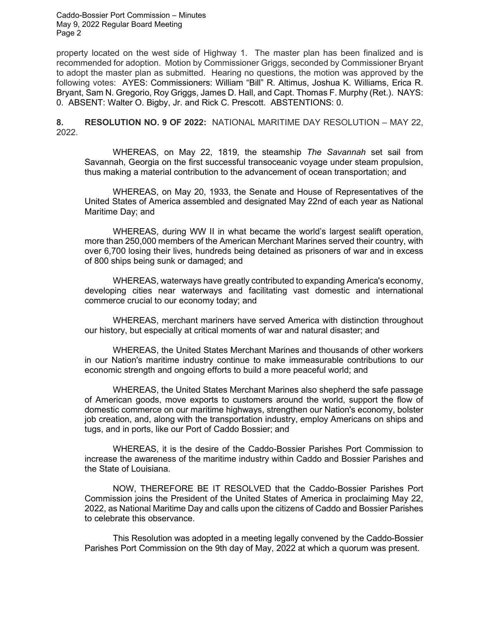property located on the west side of Highway 1. The master plan has been finalized and is recommended for adoption. Motion by Commissioner Griggs, seconded by Commissioner Bryant to adopt the master plan as submitted. Hearing no questions, the motion was approved by the following votes: AYES: Commissioners: William "Bill" R. Altimus, Joshua K. Williams, Erica R. Bryant, Sam N. Gregorio, Roy Griggs, James D. Hall, and Capt. Thomas F. Murphy (Ret.). NAYS: 0. ABSENT: Walter O. Bigby, Jr. and Rick C. Prescott. ABSTENTIONS: 0.

**8. RESOLUTION NO. 9 OF 2022:** NATIONAL MARITIME DAY RESOLUTION – MAY 22, 2022.

WHEREAS, on May 22, 1819, the steamship *The Savannah* set sail from Savannah, Georgia on the first successful transoceanic voyage under steam propulsion, thus making a material contribution to the advancement of ocean transportation; and

WHEREAS, on May 20, 1933, the Senate and House of Representatives of the United States of America assembled and designated May 22nd of each year as National Maritime Day; and

WHEREAS, during WW II in what became the world's largest sealift operation, more than 250,000 members of the American Merchant Marines served their country, with over 6,700 losing their lives, hundreds being detained as prisoners of war and in excess of 800 ships being sunk or damaged; and

WHEREAS, waterways have greatly contributed to expanding America's economy, developing cities near waterways and facilitating vast domestic and international commerce crucial to our economy today; and

WHEREAS, merchant mariners have served America with distinction throughout our history, but especially at critical moments of war and natural disaster; and

WHEREAS, the United States Merchant Marines and thousands of other workers in our Nation's maritime industry continue to make immeasurable contributions to our economic strength and ongoing efforts to build a more peaceful world; and

WHEREAS, the United States Merchant Marines also shepherd the safe passage of American goods, move exports to customers around the world, support the flow of domestic commerce on our maritime highways, strengthen our Nation's economy, bolster job creation, and, along with the transportation industry, employ Americans on ships and tugs, and in ports, like our Port of Caddo Bossier; and

WHEREAS, it is the desire of the Caddo-Bossier Parishes Port Commission to increase the awareness of the maritime industry within Caddo and Bossier Parishes and the State of Louisiana.

NOW, THEREFORE BE IT RESOLVED that the Caddo-Bossier Parishes Port Commission joins the President of the United States of America in proclaiming May 22, 2022, as National Maritime Day and calls upon the citizens of Caddo and Bossier Parishes to celebrate this observance.

This Resolution was adopted in a meeting legally convened by the Caddo-Bossier Parishes Port Commission on the 9th day of May, 2022 at which a quorum was present.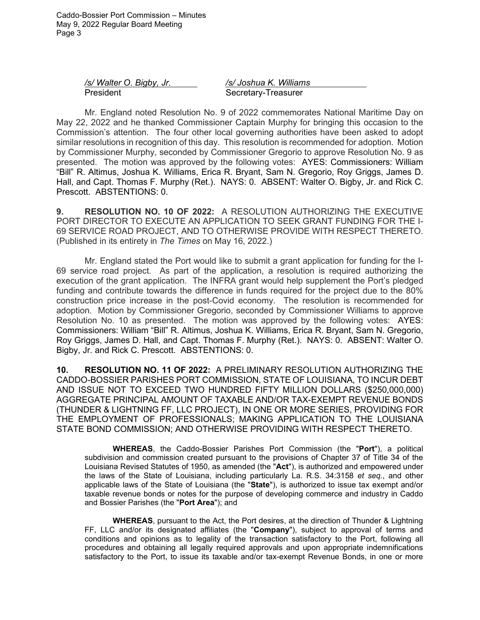> */s/ Walter O. Bigby, Jr. /s/ Joshua K. Williams* President Secretary-Treasurer

Mr. England noted Resolution No. 9 of 2022 commemorates National Maritime Day on May 22, 2022 and he thanked Commissioner Captain Murphy for bringing this occasion to the Commission's attention. The four other local governing authorities have been asked to adopt similar resolutions in recognition of this day. This resolution is recommended for adoption. Motion by Commissioner Murphy, seconded by Commissioner Gregorio to approve Resolution No. 9 as presented. The motion was approved by the following votes: AYES: Commissioners: William "Bill" R. Altimus, Joshua K. Williams, Erica R. Bryant, Sam N. Gregorio, Roy Griggs, James D. Hall, and Capt. Thomas F. Murphy (Ret.). NAYS: 0. ABSENT: Walter O. Bigby, Jr. and Rick C. Prescott. ABSTENTIONS: 0.

**9. RESOLUTION NO. 10 OF 2022:** A RESOLUTION AUTHORIZING THE EXECUTIVE PORT DIRECTOR TO EXECUTE AN APPLICATION TO SEEK GRANT FUNDING FOR THE I-69 SERVICE ROAD PROJECT, AND TO OTHERWISE PROVIDE WITH RESPECT THERETO. (Published in its entirety in *The Times* on May 16, 2022.)

Mr. England stated the Port would like to submit a grant application for funding for the I-69 service road project. As part of the application, a resolution is required authorizing the execution of the grant application. The INFRA grant would help supplement the Port's pledged funding and contribute towards the difference in funds required for the project due to the 80% construction price increase in the post-Covid economy. The resolution is recommended for adoption. Motion by Commissioner Gregorio, seconded by Commissioner Williams to approve Resolution No. 10 as presented. The motion was approved by the following votes: AYES: Commissioners: William "Bill" R. Altimus, Joshua K. Williams, Erica R. Bryant, Sam N. Gregorio, Roy Griggs, James D. Hall, and Capt. Thomas F. Murphy (Ret.). NAYS: 0. ABSENT: Walter O. Bigby, Jr. and Rick C. Prescott. ABSTENTIONS: 0.

**10. RESOLUTION NO. 11 OF 2022:** A PRELIMINARY RESOLUTION AUTHORIZING THE CADDO-BOSSIER PARISHES PORT COMMISSION, STATE OF LOUISIANA, TO INCUR DEBT AND ISSUE NOT TO EXCEED TWO HUNDRED FIFTY MILLION DOLLARS (\$250,000,000) AGGREGATE PRINCIPAL AMOUNT OF TAXABLE AND/OR TAX-EXEMPT REVENUE BONDS (THUNDER & LIGHTNING FF, LLC PROJECT), IN ONE OR MORE SERIES, PROVIDING FOR THE EMPLOYMENT OF PROFESSIONALS; MAKING APPLICATION TO THE LOUISIANA STATE BOND COMMISSION; AND OTHERWISE PROVIDING WITH RESPECT THERETO.

**WHEREAS**, the Caddo-Bossier Parishes Port Commission (the "**Port**"), a political subdivision and commission created pursuant to the provisions of Chapter 37 of Title 34 of the Louisiana Revised Statutes of 1950, as amended (the "**Act**"), is authorized and empowered under the laws of the State of Louisiana, including particularly La. R.S. 34:3158 *et seq.*, and other applicable laws of the State of Louisiana (the "**State**"), is authorized to issue tax exempt and/or taxable revenue bonds or notes for the purpose of developing commerce and industry in Caddo and Bossier Parishes (the "**Port Area**"); and

**WHEREAS**, pursuant to the Act, the Port desires, at the direction of Thunder & Lightning FF, LLC and/or its designated affiliates (the "**Company**"), subject to approval of terms and conditions and opinions as to legality of the transaction satisfactory to the Port, following all procedures and obtaining all legally required approvals and upon appropriate indemnifications satisfactory to the Port, to issue its taxable and/or tax-exempt Revenue Bonds, in one or more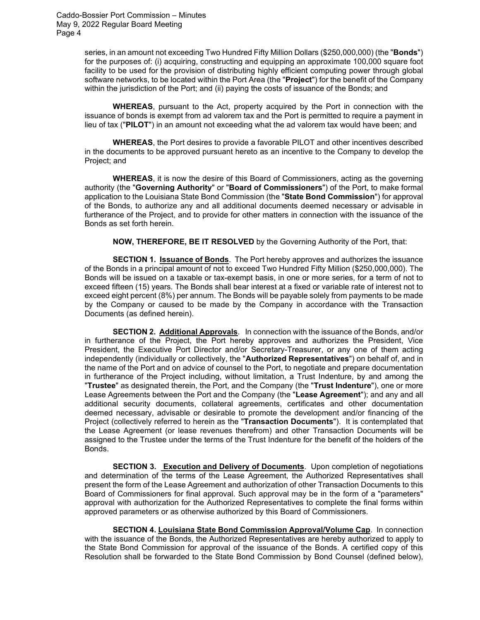> series, in an amount not exceeding Two Hundred Fifty Million Dollars (\$250,000,000) (the "**Bonds**") for the purposes of: (i) acquiring, constructing and equipping an approximate 100,000 square foot facility to be used for the provision of distributing highly efficient computing power through global software networks, to be located within the Port Area (the "**Project**") for the benefit of the Company within the jurisdiction of the Port; and (ii) paying the costs of issuance of the Bonds; and

> **WHEREAS**, pursuant to the Act, property acquired by the Port in connection with the issuance of bonds is exempt from ad valorem tax and the Port is permitted to require a payment in lieu of tax ("**PILOT**") in an amount not exceeding what the ad valorem tax would have been; and

> **WHEREAS**, the Port desires to provide a favorable PILOT and other incentives described in the documents to be approved pursuant hereto as an incentive to the Company to develop the Project; and

> **WHEREAS**, it is now the desire of this Board of Commissioners, acting as the governing authority (the "**Governing Authority**" or "**Board of Commissioners**") of the Port, to make formal application to the Louisiana State Bond Commission (the "**State Bond Commission**") for approval of the Bonds, to authorize any and all additional documents deemed necessary or advisable in furtherance of the Project, and to provide for other matters in connection with the issuance of the Bonds as set forth herein.

**NOW, THEREFORE, BE IT RESOLVED** by the Governing Authority of the Port, that:

**SECTION 1. Issuance of Bonds**. The Port hereby approves and authorizes the issuance of the Bonds in a principal amount of not to exceed Two Hundred Fifty Million (\$250,000,000). The Bonds will be issued on a taxable or tax-exempt basis, in one or more series, for a term of not to exceed fifteen (15) years. The Bonds shall bear interest at a fixed or variable rate of interest not to exceed eight percent (8%) per annum. The Bonds will be payable solely from payments to be made by the Company or caused to be made by the Company in accordance with the Transaction Documents (as defined herein).

**SECTION 2. Additional Approvals**. In connection with the issuance of the Bonds, and/or in furtherance of the Project, the Port hereby approves and authorizes the President, Vice President, the Executive Port Director and/or Secretary-Treasurer, or any one of them acting independently (individually or collectively, the "**Authorized Representatives**") on behalf of, and in the name of the Port and on advice of counsel to the Port, to negotiate and prepare documentation in furtherance of the Project including, without limitation, a Trust Indenture, by and among the "**Trustee**" as designated therein, the Port, and the Company (the "**Trust Indenture**"), one or more Lease Agreements between the Port and the Company (the "**Lease Agreement**"); and any and all additional security documents, collateral agreements, certificates and other documentation deemed necessary, advisable or desirable to promote the development and/or financing of the Project (collectively referred to herein as the "**Transaction Documents**"). It is contemplated that the Lease Agreement (or lease revenues therefrom) and other Transaction Documents will be assigned to the Trustee under the terms of the Trust Indenture for the benefit of the holders of the Bonds.

**SECTION 3. Execution and Delivery of Documents**. Upon completion of negotiations and determination of the terms of the Lease Agreement, the Authorized Representatives shall present the form of the Lease Agreement and authorization of other Transaction Documents to this Board of Commissioners for final approval. Such approval may be in the form of a "parameters" approval with authorization for the Authorized Representatives to complete the final forms within approved parameters or as otherwise authorized by this Board of Commissioners.

**SECTION 4. Louisiana State Bond Commission Approval/Volume Cap**. In connection with the issuance of the Bonds, the Authorized Representatives are hereby authorized to apply to the State Bond Commission for approval of the issuance of the Bonds. A certified copy of this Resolution shall be forwarded to the State Bond Commission by Bond Counsel (defined below),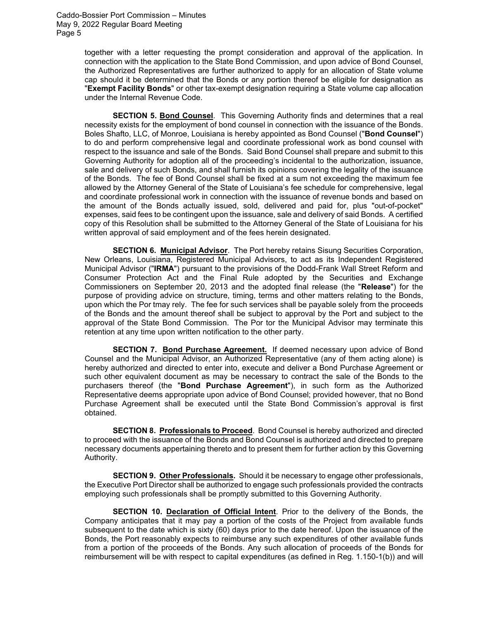> together with a letter requesting the prompt consideration and approval of the application. In connection with the application to the State Bond Commission, and upon advice of Bond Counsel, the Authorized Representatives are further authorized to apply for an allocation of State volume cap should it be determined that the Bonds or any portion thereof be eligible for designation as "**Exempt Facility Bonds**" or other tax-exempt designation requiring a State volume cap allocation under the Internal Revenue Code.

> **SECTION 5. Bond Counsel**. This Governing Authority finds and determines that a real necessity exists for the employment of bond counsel in connection with the issuance of the Bonds. Boles Shafto, LLC, of Monroe, Louisiana is hereby appointed as Bond Counsel ("**Bond Counsel**") to do and perform comprehensive legal and coordinate professional work as bond counsel with respect to the issuance and sale of the Bonds. Said Bond Counsel shall prepare and submit to this Governing Authority for adoption all of the proceeding's incidental to the authorization, issuance, sale and delivery of such Bonds, and shall furnish its opinions covering the legality of the issuance of the Bonds. The fee of Bond Counsel shall be fixed at a sum not exceeding the maximum fee allowed by the Attorney General of the State of Louisiana's fee schedule for comprehensive, legal and coordinate professional work in connection with the issuance of revenue bonds and based on the amount of the Bonds actually issued, sold, delivered and paid for, plus "out-of-pocket" expenses, said fees to be contingent upon the issuance, sale and delivery of said Bonds. A certified copy of this Resolution shall be submitted to the Attorney General of the State of Louisiana for his written approval of said employment and of the fees herein designated.

> **SECTION 6. Municipal Advisor**. The Port hereby retains Sisung Securities Corporation, New Orleans, Louisiana, Registered Municipal Advisors, to act as its Independent Registered Municipal Advisor ("**IRMA**") pursuant to the provisions of the Dodd-Frank Wall Street Reform and Consumer Protection Act and the Final Rule adopted by the Securities and Exchange Commissioners on September 20, 2013 and the adopted final release (the "**Release**") for the purpose of providing advice on structure, timing, terms and other matters relating to the Bonds, upon which the Por tmay rely. The fee for such services shall be payable solely from the proceeds of the Bonds and the amount thereof shall be subject to approval by the Port and subject to the approval of the State Bond Commission. The Por tor the Municipal Advisor may terminate this retention at any time upon written notification to the other party.

> **SECTION 7. Bond Purchase Agreement.** If deemed necessary upon advice of Bond Counsel and the Municipal Advisor, an Authorized Representative (any of them acting alone) is hereby authorized and directed to enter into, execute and deliver a Bond Purchase Agreement or such other equivalent document as may be necessary to contract the sale of the Bonds to the purchasers thereof (the "**Bond Purchase Agreement**"), in such form as the Authorized Representative deems appropriate upon advice of Bond Counsel; provided however, that no Bond Purchase Agreement shall be executed until the State Bond Commission's approval is first obtained.

> **SECTION 8. Professionals to Proceed**. Bond Counsel is hereby authorized and directed to proceed with the issuance of the Bonds and Bond Counsel is authorized and directed to prepare necessary documents appertaining thereto and to present them for further action by this Governing Authority.

> **SECTION 9. Other Professionals.** Should it be necessary to engage other professionals, the Executive Port Director shall be authorized to engage such professionals provided the contracts employing such professionals shall be promptly submitted to this Governing Authority.

> **SECTION 10. Declaration of Official Intent**. Prior to the delivery of the Bonds, the Company anticipates that it may pay a portion of the costs of the Project from available funds subsequent to the date which is sixty (60) days prior to the date hereof. Upon the issuance of the Bonds, the Port reasonably expects to reimburse any such expenditures of other available funds from a portion of the proceeds of the Bonds. Any such allocation of proceeds of the Bonds for reimbursement will be with respect to capital expenditures (as defined in Reg. 1.150-1(b)) and will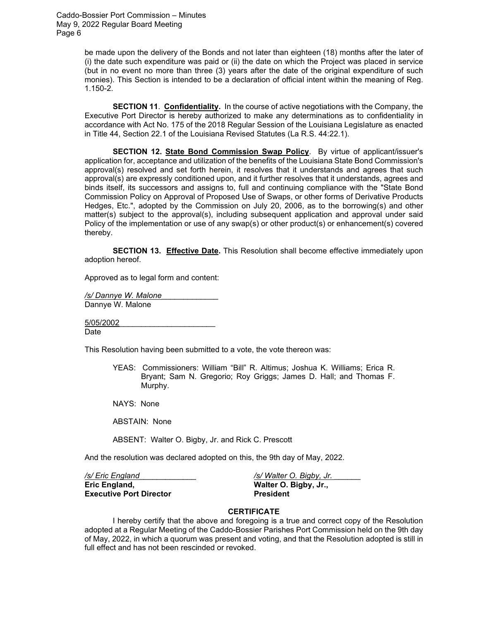> be made upon the delivery of the Bonds and not later than eighteen (18) months after the later of (i) the date such expenditure was paid or (ii) the date on which the Project was placed in service (but in no event no more than three (3) years after the date of the original expenditure of such monies). This Section is intended to be a declaration of official intent within the meaning of Reg. 1.150-2.

> **SECTION 11**. **Confidentiality.** In the course of active negotiations with the Company, the Executive Port Director is hereby authorized to make any determinations as to confidentiality in accordance with Act No. 175 of the 2018 Regular Session of the Louisiana Legislature as enacted in Title 44, Section 22.1 of the Louisiana Revised Statutes (La R.S. 44:22.1).

> **SECTION 12. State Bond Commission Swap Policy**. By virtue of applicant/issuer's application for, acceptance and utilization of the benefits of the Louisiana State Bond Commission's approval(s) resolved and set forth herein, it resolves that it understands and agrees that such approval(s) are expressly conditioned upon, and it further resolves that it understands, agrees and binds itself, its successors and assigns to, full and continuing compliance with the "State Bond Commission Policy on Approval of Proposed Use of Swaps, or other forms of Derivative Products Hedges, Etc.", adopted by the Commission on July 20, 2006, as to the borrowing(s) and other matter(s) subject to the approval(s), including subsequent application and approval under said Policy of the implementation or use of any swap(s) or other product(s) or enhancement(s) covered thereby.

> **SECTION 13. Effective Date.** This Resolution shall become effective immediately upon adoption hereof.

Approved as to legal form and content:

*/s/ Dannye W. Malone*\_\_\_\_\_\_\_\_\_\_\_\_\_ Dannye W. Malone

5/05/2002\_\_\_\_\_\_\_\_\_\_\_\_\_\_\_\_\_\_\_\_\_\_ Date

This Resolution having been submitted to a vote, the vote thereon was:

YEAS: Commissioners: William "Bill" R. Altimus; Joshua K. Williams; Erica R. Bryant; Sam N. Gregorio; Roy Griggs; James D. Hall; and Thomas F. Murphy.

NAYS: None

ABSTAIN: None

ABSENT: Walter O. Bigby, Jr. and Rick C. Prescott

And the resolution was declared adopted on this, the 9th day of May, 2022.

*/s/ Eric England*\_\_\_\_\_\_\_\_\_\_\_\_\_ */s/ Walter O. Bigby, Jr.* \_\_\_\_\_\_ **Executive Port Director President** 

**Eric England, Walter O. Bigby, Jr.,**

#### **CERTIFICATE**

I hereby certify that the above and foregoing is a true and correct copy of the Resolution adopted at a Regular Meeting of the Caddo-Bossier Parishes Port Commission held on the 9th day of May, 2022, in which a quorum was present and voting, and that the Resolution adopted is still in full effect and has not been rescinded or revoked.